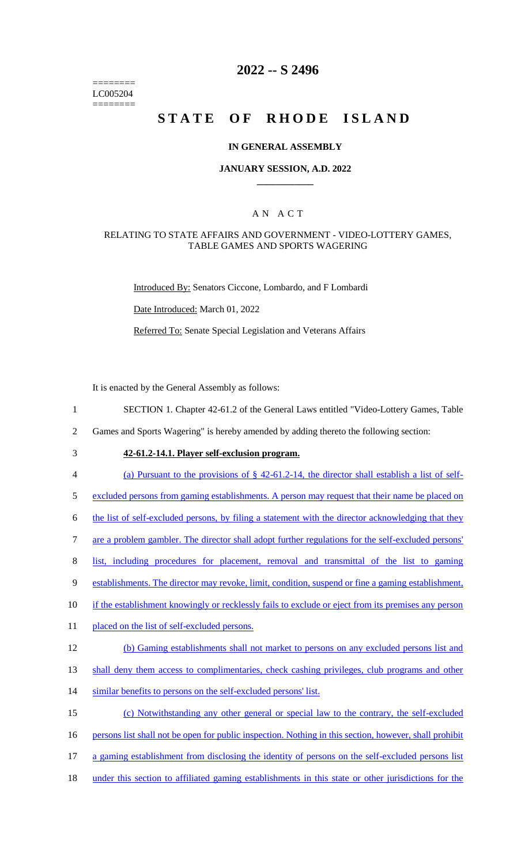======== LC005204 ========

# **2022 -- S 2496**

# **STATE OF RHODE ISLAND**

## **IN GENERAL ASSEMBLY**

## **JANUARY SESSION, A.D. 2022 \_\_\_\_\_\_\_\_\_\_\_\_**

## A N A C T

## RELATING TO STATE AFFAIRS AND GOVERNMENT - VIDEO-LOTTERY GAMES, TABLE GAMES AND SPORTS WAGERING

Introduced By: Senators Ciccone, Lombardo, and F Lombardi

Date Introduced: March 01, 2022

Referred To: Senate Special Legislation and Veterans Affairs

It is enacted by the General Assembly as follows:

1 SECTION 1. Chapter 42-61.2 of the General Laws entitled "Video-Lottery Games, Table

2 Games and Sports Wagering" is hereby amended by adding thereto the following section:

# 3 **42-61.2-14.1. Player self-exclusion program.**

4 (a) Pursuant to the provisions of § 42-61.2-14, the director shall establish a list of self-

5 excluded persons from gaming establishments. A person may request that their name be placed on

6 the list of self-excluded persons, by filing a statement with the director acknowledging that they

7 are a problem gambler. The director shall adopt further regulations for the self-excluded persons'

8 list, including procedures for placement, removal and transmittal of the list to gaming

- 9 establishments. The director may revoke, limit, condition, suspend or fine a gaming establishment,
- 10 if the establishment knowingly or recklessly fails to exclude or eject from its premises any person
- 11 placed on the list of self-excluded persons.

#### 12 (b) Gaming establishments shall not market to persons on any excluded persons list and

13 shall deny them access to complimentaries, check cashing privileges, club programs and other

14 similar benefits to persons on the self-excluded persons' list.

15 (c) Notwithstanding any other general or special law to the contrary, the self-excluded

- 16 persons list shall not be open for public inspection. Nothing in this section, however, shall prohibit
- 17 a gaming establishment from disclosing the identity of persons on the self-excluded persons list
- 18 under this section to affiliated gaming establishments in this state or other jurisdictions for the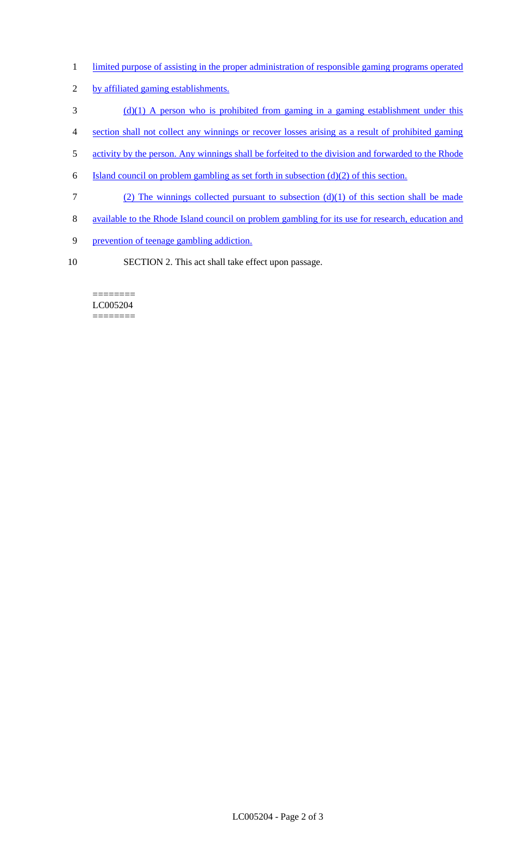- 1 limited purpose of assisting in the proper administration of responsible gaming programs operated
- 2 by affiliated gaming establishments.
- 3 (d)(1) A person who is prohibited from gaming in a gaming establishment under this
- 4 section shall not collect any winnings or recover losses arising as a result of prohibited gaming
- 5 activity by the person. Any winnings shall be forfeited to the division and forwarded to the Rhode
- 6 Island council on problem gambling as set forth in subsection  $(d)(2)$  of this section.
- 7 (2) The winnings collected pursuant to subsection (d)(1) of this section shall be made
- 8 available to the Rhode Island council on problem gambling for its use for research, education and
- 9 prevention of teenage gambling addiction.
- 10 SECTION 2. This act shall take effect upon passage.

#### ======== LC005204 ========